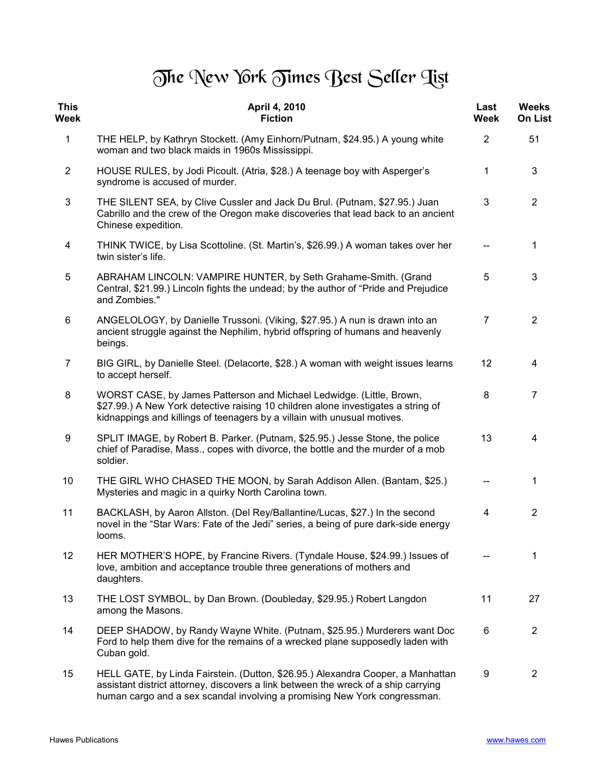## The New York Times Best Seller Tist

| <b>This</b><br>Week | April 4, 2010<br><b>Fiction</b>                                                                                                                                                                                                                    | Last<br><b>Week</b> | <b>Weeks</b><br><b>On List</b> |
|---------------------|----------------------------------------------------------------------------------------------------------------------------------------------------------------------------------------------------------------------------------------------------|---------------------|--------------------------------|
| 1                   | THE HELP, by Kathryn Stockett. (Amy Einhorn/Putnam, \$24.95.) A young white<br>woman and two black maids in 1960s Mississippi.                                                                                                                     | $\overline{2}$      | 51                             |
| $\overline{2}$      | HOUSE RULES, by Jodi Picoult. (Atria, \$28.) A teenage boy with Asperger's<br>syndrome is accused of murder.                                                                                                                                       | 1                   | 3                              |
| 3                   | THE SILENT SEA, by Clive Cussler and Jack Du Brul. (Putnam, \$27.95.) Juan<br>Cabrillo and the crew of the Oregon make discoveries that lead back to an ancient<br>Chinese expedition.                                                             | 3                   | $\overline{2}$                 |
| 4                   | THINK TWICE, by Lisa Scottoline. (St. Martin's, \$26.99.) A woman takes over her<br>twin sister's life.                                                                                                                                            |                     | 1                              |
| 5                   | ABRAHAM LINCOLN: VAMPIRE HUNTER, by Seth Grahame-Smith. (Grand<br>Central, \$21.99.) Lincoln fights the undead; by the author of "Pride and Prejudice<br>and Zombies."                                                                             | 5                   | 3                              |
| 6                   | ANGELOLOGY, by Danielle Trussoni. (Viking, \$27.95.) A nun is drawn into an<br>ancient struggle against the Nephilim, hybrid offspring of humans and heavenly<br>beings.                                                                           | $\overline{7}$      | $\overline{2}$                 |
| $\overline{7}$      | BIG GIRL, by Danielle Steel. (Delacorte, \$28.) A woman with weight issues learns<br>to accept herself.                                                                                                                                            | 12                  | 4                              |
| 8                   | WORST CASE, by James Patterson and Michael Ledwidge. (Little, Brown,<br>\$27.99.) A New York detective raising 10 children alone investigates a string of<br>kidnappings and killings of teenagers by a villain with unusual motives.              | 8                   | 7                              |
| 9                   | SPLIT IMAGE, by Robert B. Parker. (Putnam, \$25.95.) Jesse Stone, the police<br>chief of Paradise, Mass., copes with divorce, the bottle and the murder of a mob<br>soldier.                                                                       | 13                  | 4                              |
| 10                  | THE GIRL WHO CHASED THE MOON, by Sarah Addison Allen. (Bantam, \$25.)<br>Mysteries and magic in a quirky North Carolina town.                                                                                                                      |                     | 1                              |
| 11                  | BACKLASH, by Aaron Allston. (Del Rey/Ballantine/Lucas, \$27.) In the second<br>novel in the "Star Wars: Fate of the Jedi" series, a being of pure dark-side energy<br>looms.                                                                       | 4                   | $\overline{2}$                 |
| 12                  | HER MOTHER'S HOPE, by Francine Rivers. (Tyndale House, \$24.99.) Issues of<br>love, ambition and acceptance trouble three generations of mothers and<br>daughters.                                                                                 |                     | 1                              |
| 13                  | THE LOST SYMBOL, by Dan Brown. (Doubleday, \$29.95.) Robert Langdon<br>among the Masons.                                                                                                                                                           | 11                  | 27                             |
| 14                  | DEEP SHADOW, by Randy Wayne White. (Putnam, \$25.95.) Murderers want Doc<br>Ford to help them dive for the remains of a wrecked plane supposedly laden with<br>Cuban gold.                                                                         | 6                   | $\overline{2}$                 |
| 15                  | HELL GATE, by Linda Fairstein. (Dutton, \$26.95.) Alexandra Cooper, a Manhattan<br>assistant district attorney, discovers a link between the wreck of a ship carrying<br>human cargo and a sex scandal involving a promising New York congressman. | 9                   | $\overline{2}$                 |